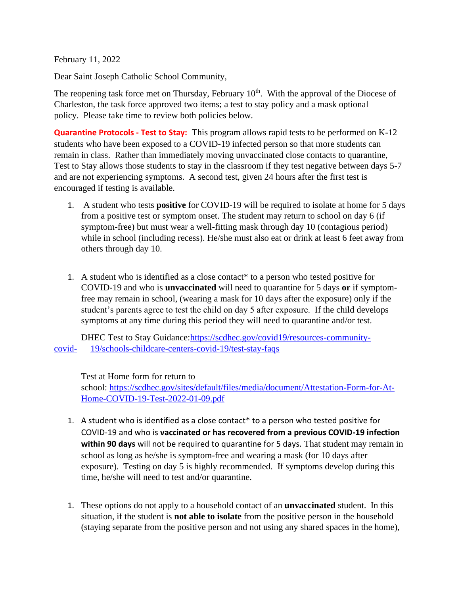February 11, 2022

Dear Saint Joseph Catholic School Community,

The reopening task force met on Thursday, February  $10<sup>th</sup>$ . With the approval of the Diocese of Charleston, the task force approved two items; a test to stay policy and a mask optional policy. Please take time to review both policies below.

**Quarantine Protocols - Test to Stay:** This program allows rapid tests to be performed on K-12 students who have been exposed to a COVID-19 infected person so that more students can remain in class. Rather than immediately moving unvaccinated close contacts to quarantine, Test to Stay allows those students to stay in the classroom if they test negative between days 5-7 and are not experiencing symptoms. A second test, given 24 hours after the first test is encouraged if testing is available.

- 1. A student who tests **positive** for COVID-19 will be required to isolate at home for 5 days from a positive test or symptom onset. The student may return to school on day 6 (if symptom-free) but must wear a well-fitting mask through day 10 (contagious period) while in school (including recess). He/she must also eat or drink at least 6 feet away from others through day 10.
- 1. A student who is identified as a close contact\* to a person who tested positive for COVID-19 and who is **unvaccinated** will need to quarantine for 5 days **or** if symptomfree may remain in school, (wearing a mask for 10 days after the exposure) only if the student's parents agree to test the child on day 5 after exposure. If the child develops symptoms at any time during this period they will need to quarantine and/or test.

DHEC Test to Stay Guidance[:https://scdhec.gov/covid19/resources-community](https://scdhec.gov/covid19/resources-community-covid-19/schools-childcare-centers-covid-19/test-stay-faqs)[covid-](https://scdhec.gov/covid19/resources-community-covid-19/schools-childcare-centers-covid-19/test-stay-faqs) 19/schools-childcare-centers-covid-19/test-stay-faqs

Test at Home form for return to

school: [https://scdhec.gov/sites/default/files/media/document/Attestation-Form-for-At-](https://scdhec.gov/sites/default/files/media/document/Attestation-Form-for-At-Home-COVID-19-Test-2022-01-09.pdf)[Home-COVID-19-Test-2022-01-09.pdf](https://scdhec.gov/sites/default/files/media/document/Attestation-Form-for-At-Home-COVID-19-Test-2022-01-09.pdf)

- 1. A student who is identified as a close contact\* to a person who tested positive for COVID-19 and who is **vaccinated or has recovered from a previous COVID-19 infection within 90 days** will not be required to quarantine for 5 days. That student may remain in school as long as he/she is symptom-free and wearing a mask (for 10 days after exposure). Testing on day 5 is highly recommended. If symptoms develop during this time, he/she will need to test and/or quarantine.
- 1. These options do not apply to a household contact of an **unvaccinated** student. In this situation, if the student is **not able to isolate** from the positive person in the household (staying separate from the positive person and not using any shared spaces in the home),